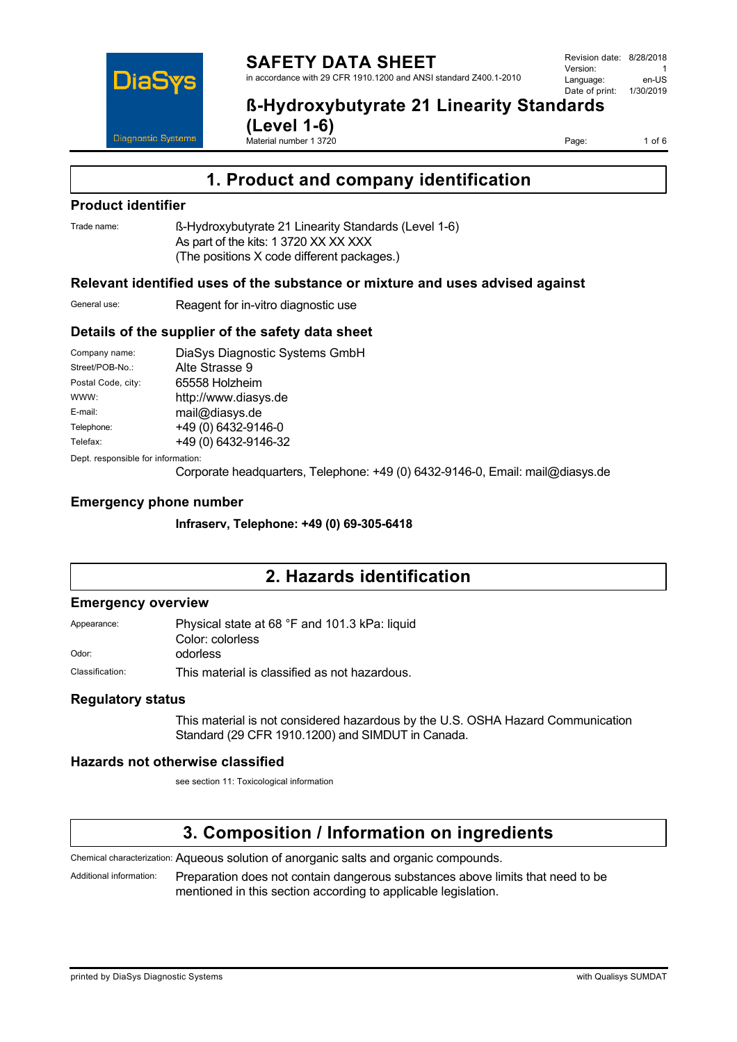

**ß-Hydroxybutyrate 21 Linearity Standards** 

**(Level 1-6)** Material number 1 3720

Page: 1 of 6

# **1. Product and company identification**

## **Product identifier**

Trade name: ß-Hydroxybutyrate 21 Linearity Standards (Level 1-6) As part of the kits: 1 3720 XX XX XXX (The positions X code different packages.)

### **Relevant identified uses of the substance or mixture and uses advised against**

General use: Reagent for in-vitro diagnostic use

## **Details of the supplier of the safety data sheet**

| Company name:                      | DiaSys Diagnostic Systems GmbH                  |
|------------------------------------|-------------------------------------------------|
| Street/POB-No.:                    | Alte Strasse 9                                  |
| Postal Code, city:                 | 65558 Holzheim                                  |
| WWW:                               | http://www.diasys.de                            |
| E-mail:                            | mail@diasys.de                                  |
| Telephone:                         | +49 (0) 6432-9146-0                             |
| Telefax:                           | +49 (0) 6432-9146-32                            |
| Dept. responsible for information: |                                                 |
|                                    | $Conoverto$ hoodguarters $T$ olonbono: $\pm 40$ |

Corporate headquarters, Telephone: +49 (0) 6432-9146-0, Email: mail@diasys.de

## **Emergency phone number**

**Infraserv, Telephone: +49 (0) 69-305-6418**

# **2. Hazards identification**

#### **Emergency overview**

| Appearance:     | Physical state at 68 °F and 101.3 kPa: liquid |
|-----------------|-----------------------------------------------|
|                 | Color: colorless                              |
| Odor:           | odorless                                      |
| Classification: | This material is classified as not hazardous. |

### **Regulatory status**

This material is not considered hazardous by the U.S. OSHA Hazard Communication Standard (29 CFR 1910.1200) and SIMDUT in Canada.

### **Hazards not otherwise classified**

see section 11: Toxicological information

# **3. Composition / Information on ingredients**

Chemical characterization: Aqueous solution of anorganic salts and organic compounds.

Additional information: Preparation does not contain dangerous substances above limits that need to be mentioned in this section according to applicable legislation.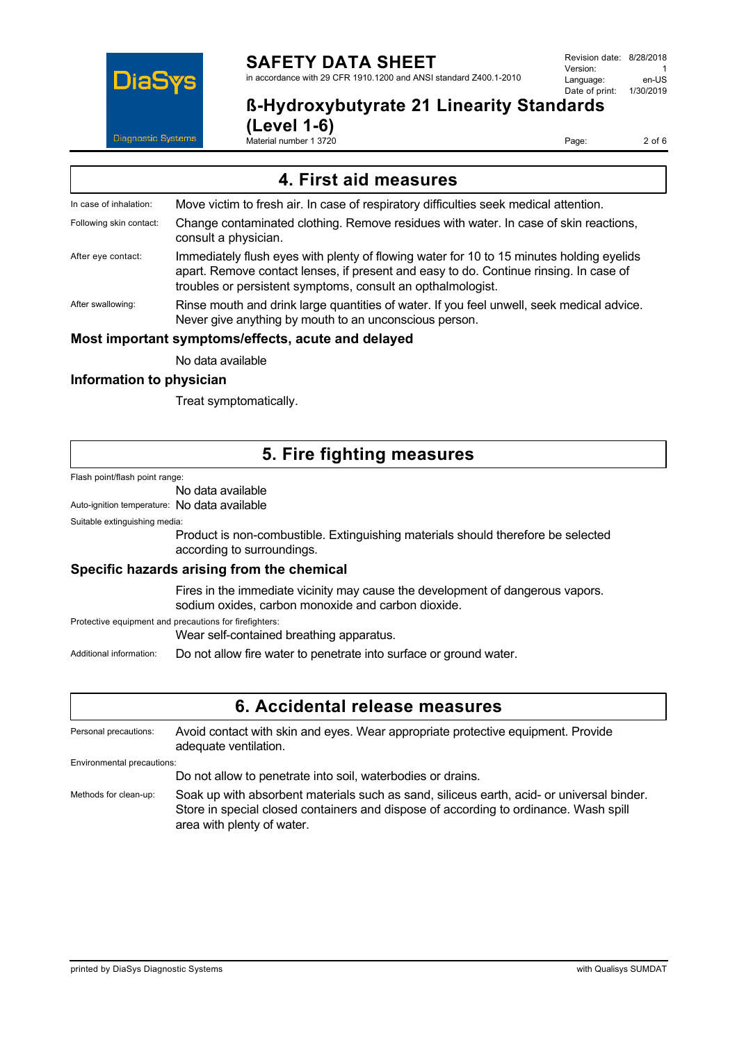

# **SAFETY DATA SHEET**

in accordance with 29 CFR 1910.1200 and ANSI standard Z400.1-2010

**ß-Hydroxybutyrate 21 Linearity Standards** 

**(Level 1-6)** Material number 1 3720

Page: 2 of 6

| 4. First aid measures                              |                                                                                                                                                                                                                                                  |  |
|----------------------------------------------------|--------------------------------------------------------------------------------------------------------------------------------------------------------------------------------------------------------------------------------------------------|--|
| In case of inhalation:                             | Move victim to fresh air. In case of respiratory difficulties seek medical attention.                                                                                                                                                            |  |
| Following skin contact:                            | Change contaminated clothing. Remove residues with water. In case of skin reactions,<br>consult a physician.                                                                                                                                     |  |
| After eye contact:                                 | Immediately flush eyes with plenty of flowing water for 10 to 15 minutes holding eyelids<br>apart. Remove contact lenses, if present and easy to do. Continue rinsing. In case of<br>troubles or persistent symptoms, consult an opthalmologist. |  |
| After swallowing:                                  | Rinse mouth and drink large quantities of water. If you feel unwell, seek medical advice.<br>Never give anything by mouth to an unconscious person.                                                                                              |  |
| Most important symptoms/effects, acute and delayed |                                                                                                                                                                                                                                                  |  |

No data available

## **Information to physician**

Treat symptomatically.

# **5. Fire fighting measures**

Flash point/flash point range:

#### No data available

Auto-ignition temperature: No data available

Suitable extinguishing media:

Product is non-combustible. Extinguishing materials should therefore be selected according to surroundings.

### **Specific hazards arising from the chemical**

Fires in the immediate vicinity may cause the development of dangerous vapors. sodium oxides, carbon monoxide and carbon dioxide.

Protective equipment and precautions for firefighters:

Wear self-contained breathing apparatus.

Additional information: Do not allow fire water to penetrate into surface or ground water.

## **6. Accidental release measures**

Personal precautions: Avoid contact with skin and eyes. Wear appropriate protective equipment. Provide adequate ventilation. Environmental precautions: Do not allow to penetrate into soil, waterbodies or drains. Methods for clean-up: Soak up with absorbent materials such as sand, siliceus earth, acid- or universal binder. Store in special closed containers and dispose of according to ordinance. Wash spill

area with plenty of water.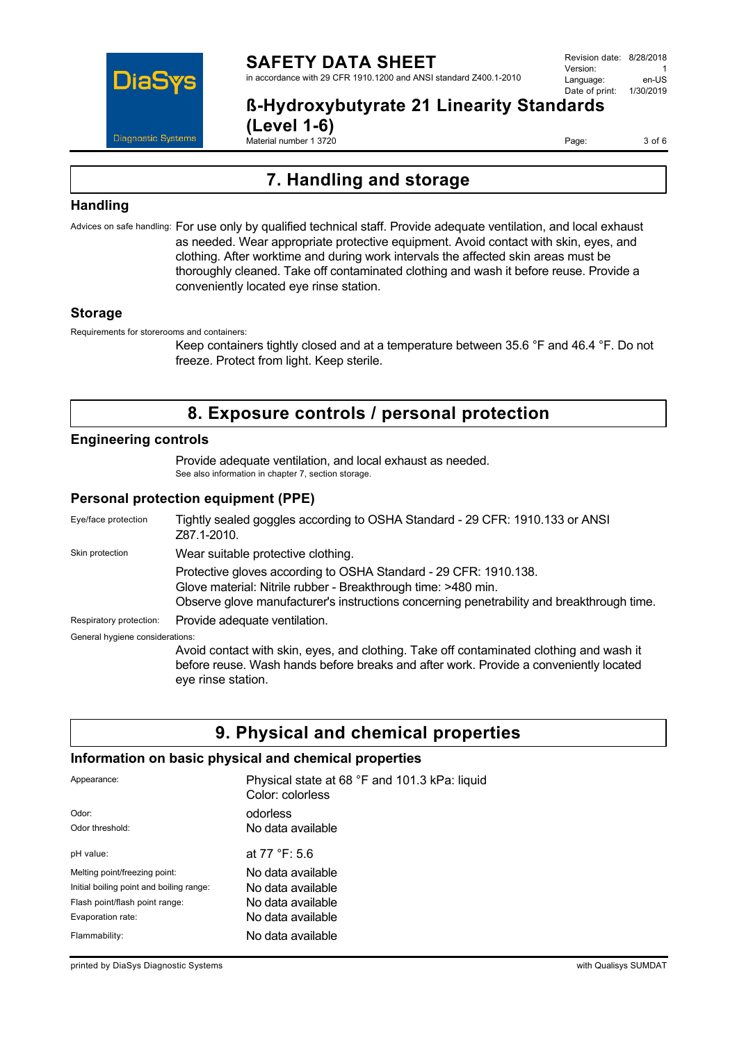

#### **SAFETY DATA SHEET** in accordance with 29 CFR 1910.1200 and ANSI standard Z400.1-2010

Revision date: 8/28/2018 Version: 1<br>Language: en-LIS Language: Date of print: 1/30/2019

# **ß-Hydroxybutyrate 21 Linearity Standards**

**(Level 1-6)** Material number 1 3720

Page: 3 of 6

# **7. Handling and storage**

## **Handling**

Advices on safe handling: For use only by qualified technical staff. Provide adequate ventilation, and local exhaust as needed. Wear appropriate protective equipment. Avoid contact with skin, eyes, and clothing. After worktime and during work intervals the affected skin areas must be thoroughly cleaned. Take off contaminated clothing and wash it before reuse. Provide a conveniently located eye rinse station.

## **Storage**

Requirements for storerooms and containers:

Keep containers tightly closed and at a temperature between 35.6 °F and 46.4 °F. Do not freeze. Protect from light. Keep sterile.

# **8. Exposure controls / personal protection**

## **Engineering controls**

Provide adequate ventilation, and local exhaust as needed. See also information in chapter 7, section storage.

## **Personal protection equipment (PPE)**

Eye/face protection Tightly sealed goggles according to OSHA Standard - 29 CFR: 1910.133 or ANSI Z87.1-2010. Skin protection **Wear suitable protective clothing.** Protective gloves according to OSHA Standard - 29 CFR: 1910.138. Glove material: Nitrile rubber - Breakthrough time: >480 min. Observe glove manufacturer's instructions concerning penetrability and breakthrough time. Respiratory protection: Provide adequate ventilation. General hygiene considerations: Avoid contact with skin, eyes, and clothing. Take off contaminated clothing and wash it

before reuse. Wash hands before breaks and after work. Provide a conveniently located eye rinse station.

# **9. Physical and chemical properties**

### **Information on basic physical and chemical properties**

| Appearance:                              | Physical state at 68 °F and 101.3 kPa: liquid<br>Color: colorless |
|------------------------------------------|-------------------------------------------------------------------|
| Odor:                                    | odorless                                                          |
| Odor threshold:                          | No data available                                                 |
| pH value:                                | at 77 °F: 5.6                                                     |
| Melting point/freezing point:            | No data available                                                 |
| Initial boiling point and boiling range: | No data available                                                 |
| Flash point/flash point range:           | No data available                                                 |
| Evaporation rate:                        | No data available                                                 |
| Flammability:                            | No data available                                                 |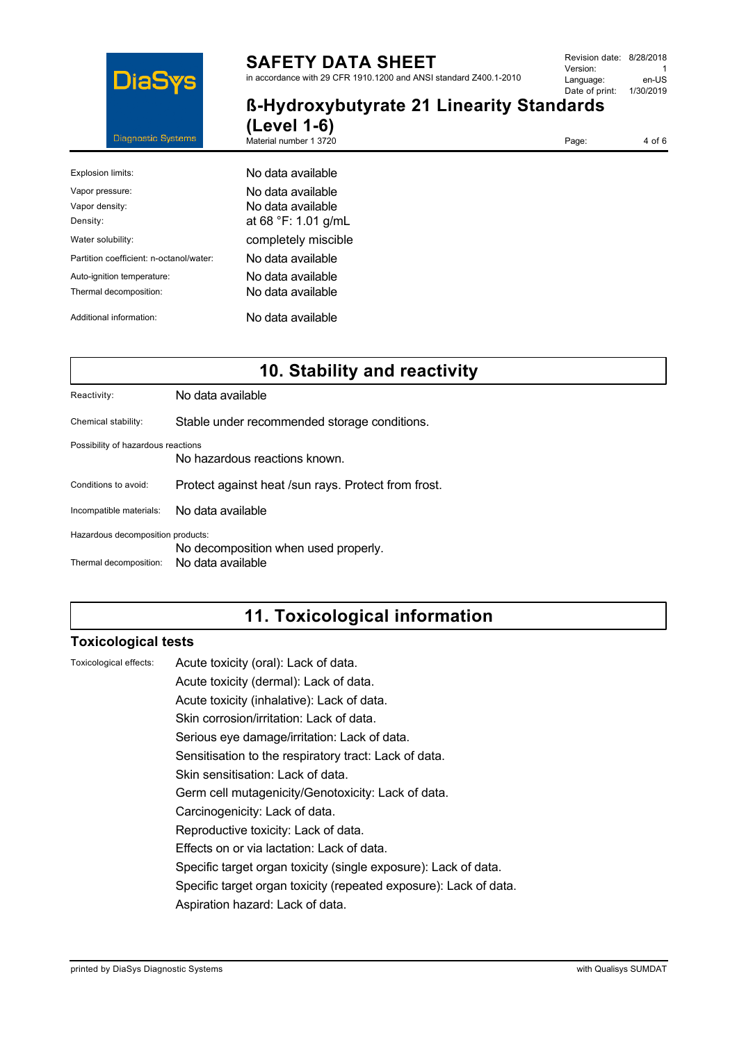

# **SAFETY DATA SHEET**

in accordance with 29 CFR 1910.1200 and ANSI standard Z400.1-2010

| Revision date: 8/28/2018 |           |  |
|--------------------------|-----------|--|
| Version:                 |           |  |
| Language:                | en-US     |  |
| Date of print:           | 1/30/2019 |  |
|                          |           |  |

**ß-Hydroxybutyrate 21 Linearity Standards (Level 1-6)**

Material number 1 3720

Page: 4 of 6

| Explosion limits:                                    | No data available                                             |  |  |
|------------------------------------------------------|---------------------------------------------------------------|--|--|
| Vapor pressure:<br>Vapor density:<br>Density:        | No data available<br>No data available<br>at 68 °F: 1.01 g/mL |  |  |
| Water solubility:                                    | completely miscible                                           |  |  |
| Partition coefficient: n-octanol/water:              | No data available                                             |  |  |
| Auto-ignition temperature:<br>Thermal decomposition: | No data available<br>No data available                        |  |  |
| Additional information:                              | No data available                                             |  |  |

# **10. Stability and reactivity**

Reactivity: No data available

Chemical stability: Stable under recommended storage conditions.

Possibility of hazardous reactions

No hazardous reactions known.

Conditions to avoid: Protect against heat /sun rays. Protect from frost.

Incompatible materials: No data available

Hazardous decomposition products:

No decomposition when used properly.

Thermal decomposition: No data available

# **11. Toxicological information**

## **Toxicological tests**

Toxicological effects: Acute toxicity (oral): Lack of data.

Acute toxicity (dermal): Lack of data.

Acute toxicity (inhalative): Lack of data.

Skin corrosion/irritation: Lack of data.

Serious eye damage/irritation: Lack of data.

Sensitisation to the respiratory tract: Lack of data.

Skin sensitisation: Lack of data.

Germ cell mutagenicity/Genotoxicity: Lack of data.

Carcinogenicity: Lack of data.

Reproductive toxicity: Lack of data.

Effects on or via lactation: Lack of data.

Specific target organ toxicity (single exposure): Lack of data.

Specific target organ toxicity (repeated exposure): Lack of data.

Aspiration hazard: Lack of data.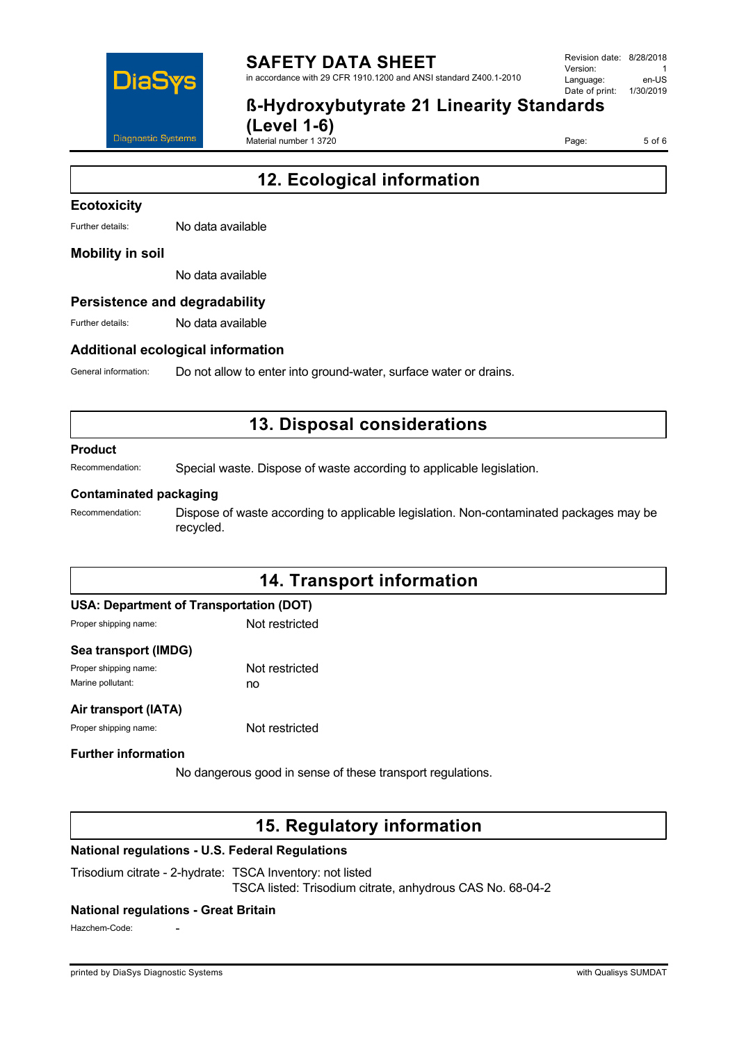

#### **SAFETY DATA SHEET** in accordance with 29 CFR 1910.1200 and ANSI standard Z400.1-2010

Revision date: 8/28/2018 Version: 1<br>Language: en-LIS Language: Date of print: 1/30/2019

# **ß-Hydroxybutyrate 21 Linearity Standards (Level 1-6)**

Material number 1 3720

Page: 5 of 6

# **12. Ecological information**

## **Ecotoxicity**

Further details: No data available

#### **Mobility in soil**

No data available

#### **Persistence and degradability**

Further details: No data available

#### **Additional ecological information**

General information: Do not allow to enter into ground-water, surface water or drains.

# **13. Disposal considerations**

#### **Product**

Recommendation: Special waste. Dispose of waste according to applicable legislation.

#### **Contaminated packaging**

Recommendation: Dispose of waste according to applicable legislation. Non-contaminated packages may be recycled.

# **14. Transport information**

| USA: Department of Transportation (DOT) |  |  |
|-----------------------------------------|--|--|
|-----------------------------------------|--|--|

Proper shipping name: Not restricted

#### **Sea transport (IMDG)**

Proper shipping name: Not restricted Marine pollutant: now no

#### **Air transport (IATA)**

Proper shipping name: Not restricted

### **Further information**

No dangerous good in sense of these transport regulations.

# **15. Regulatory information**

### **National regulations - U.S. Federal Regulations**

Trisodium citrate - 2-hydrate: TSCA Inventory: not listed TSCA listed: Trisodium citrate, anhydrous CAS No. 68-04-2

#### **National regulations - Great Britain**

Hazchem-Code: